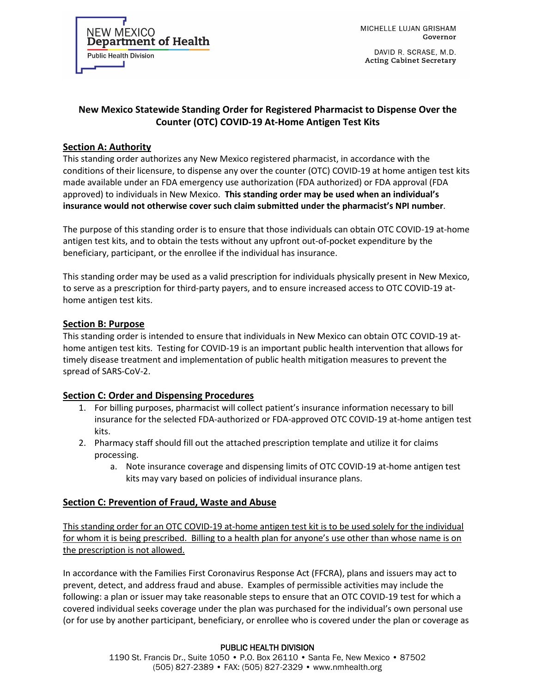**NEW MEXICO Department of Health Public Health Division** 

MICHELLE LUJAN GRISHAM Governor

DAVID R. SCRASE, M.D. **Acting Cabinet Secretary** 

# **New Mexico Statewide Standing Order for Registered Pharmacist to Dispense Over the Counter (OTC) COVID-19 At-Home Antigen Test Kits**

## **Section A: Authority**

This standing order authorizes any New Mexico registered pharmacist, in accordance with the conditions of their licensure, to dispense any over the counter (OTC) COVID-19 at home antigen test kits made available under an FDA emergency use authorization (FDA authorized) or FDA approval (FDA approved) to individuals in New Mexico. **This standing order may be used when an individual's insurance would not otherwise cover such claim submitted under the pharmacist's NPI number**.

The purpose of this standing order is to ensure that those individuals can obtain OTC COVID-19 at-home antigen test kits, and to obtain the tests without any upfront out-of-pocket expenditure by the beneficiary, participant, or the enrollee if the individual has insurance.

This standing order may be used as a valid prescription for individuals physically present in New Mexico, to serve as a prescription for third-party payers, and to ensure increased access to OTC COVID-19 athome antigen test kits.

### **Section B: Purpose**

This standing order is intended to ensure that individuals in New Mexico can obtain OTC COVID-19 athome antigen test kits. Testing for COVID-19 is an important public health intervention that allows for timely disease treatment and implementation of public health mitigation measures to prevent the spread of SARS-CoV-2.

### **Section C: Order and Dispensing Procedures**

- 1. For billing purposes, pharmacist will collect patient's insurance information necessary to bill insurance for the selected FDA-authorized or FDA-approved OTC COVID-19 at-home antigen test kits.
- 2. Pharmacy staff should fill out the attached prescription template and utilize it for claims processing.
	- a. Note insurance coverage and dispensing limits of OTC COVID-19 at-home antigen test kits may vary based on policies of individual insurance plans.

### **Section C: Prevention of Fraud, Waste and Abuse**

This standing order for an OTC COVID-19 at-home antigen test kit is to be used solely for the individual for whom it is being prescribed. Billing to a health plan for anyone's use other than whose name is on the prescription is not allowed.

In accordance with the Families First Coronavirus Response Act (FFCRA), plans and issuers may act to prevent, detect, and address fraud and abuse. Examples of permissible activities may include the following: a plan or issuer may take reasonable steps to ensure that an OTC COVID-19 test for which a covered individual seeks coverage under the plan was purchased for the individual's own personal use (or for use by another participant, beneficiary, or enrollee who is covered under the plan or coverage as

### PUBLIC HEALTH DIVISION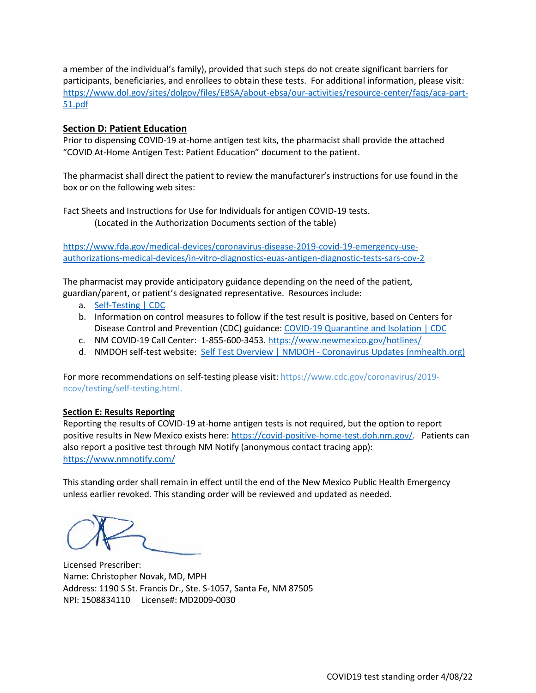a member of the individual's family), provided that such steps do not create significant barriers for participants, beneficiaries, and enrollees to obtain these tests. For additional information, please visit: [https://www.dol.gov/sites/dolgov/files/EBSA/about-ebsa/our-activities/resource-center/faqs/aca-part-](https://www.dol.gov/sites/dolgov/files/EBSA/about-ebsa/our-activities/resource-center/faqs/aca-part-51.pdf)[51.pdf](https://www.dol.gov/sites/dolgov/files/EBSA/about-ebsa/our-activities/resource-center/faqs/aca-part-51.pdf)

### **Section D: Patient Education**

Prior to dispensing COVID-19 at-home antigen test kits, the pharmacist shall provide the attached "COVID At-Home Antigen Test: Patient Education" document to the patient.

The pharmacist shall direct the patient to review the manufacturer's instructions for use found in the box or on the following web sites:

Fact Sheets and Instructions for Use for Individuals for antigen COVID-19 tests. (Located in the Authorization Documents section of the table)

[https://www.fda.gov/medical-devices/coronavirus-disease-2019-covid-19-emergency-use](https://www.fda.gov/medical-devices/coronavirus-disease-2019-covid-19-emergency-use-authorizations-medical-devices/in-vitro-diagnostics-euas-antigen-diagnostic-tests-sars-cov-2)[authorizations-medical-devices/in-vitro-diagnostics-euas-antigen-diagnostic-tests-sars-cov-2](https://www.fda.gov/medical-devices/coronavirus-disease-2019-covid-19-emergency-use-authorizations-medical-devices/in-vitro-diagnostics-euas-antigen-diagnostic-tests-sars-cov-2)

The pharmacist may provide anticipatory guidance depending on the need of the patient, guardian/parent, or patient's designated representative. Resources include:

- a. [Self-Testing | CDC](https://www.cdc.gov/coronavirus/2019-ncov/testing/self-testing.html)
- b. Information on control measures to follow if the test result is positive, based on Centers for Disease Control and Prevention (CDC) guidance[: COVID-19 Quarantine and Isolation | CDC](https://www.cdc.gov/coronavirus/2019-ncov/your-health/quarantine-isolation.html)
- c. NM COVID-19 Call Center: 1-855-600-3453. <https://www.newmexico.gov/hotlines/>
- d. NMDOH self-test website: Self Test Overview | NMDOH [Coronavirus Updates \(nmhealth.org\)](https://cv.nmhealth.org/selftest/)

For more recommendations on self-testing please visit: https://www.cdc.gov/coronavirus/2019 ncov/testing/self-testing.html.

### **Section E: Results Reporting**

Reporting the results of COVID-19 at-home antigen tests is not required, but the option to report positive results in New Mexico exists here: [https://covid-positive-home-test.doh.nm.gov/.](https://covid-positive-home-test.doh.nm.gov/) Patients can also report a positive test through NM Notify (anonymous contact tracing app): <https://www.nmnotify.com/>

This standing order shall remain in effect until the end of the New Mexico Public Health Emergency unless earlier revoked. This standing order will be reviewed and updated as needed.

Licensed Prescriber: Name: Christopher Novak, MD, MPH Address: 1190 S St. Francis Dr., Ste. S-1057, Santa Fe, NM 87505 NPI: 1508834110 License#: MD2009-0030